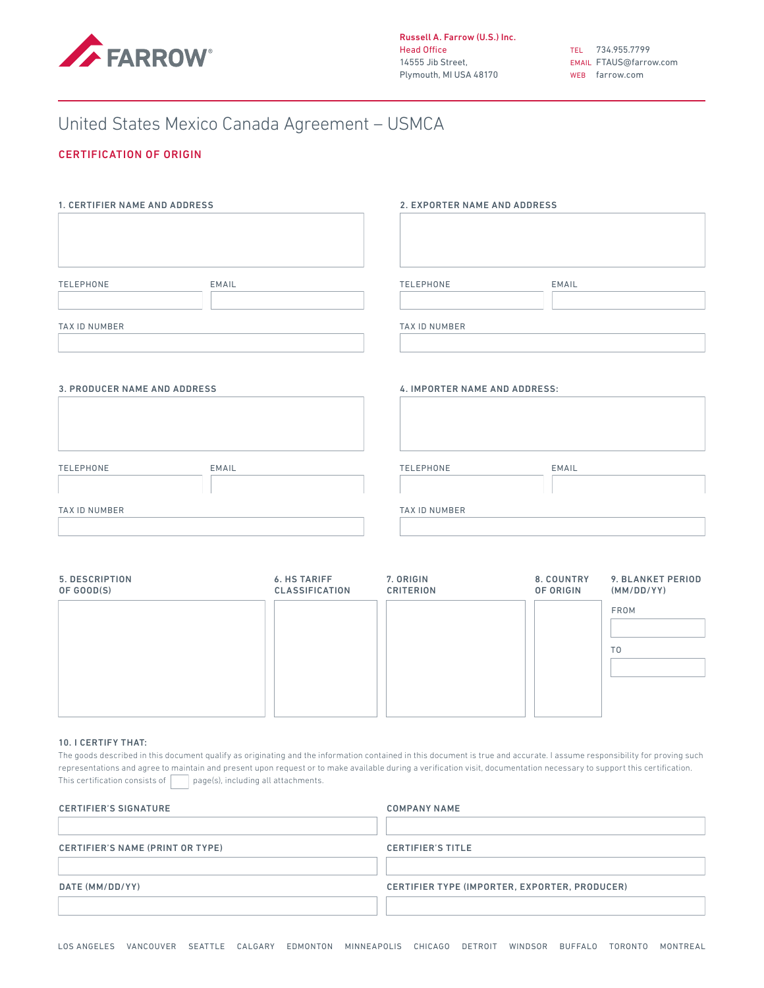

# United States Mexico Canada Agreement – USMCA

## CERTIFICATION OF ORIGIN

| 1. CERTIFIER NAME AND ADDRESS       |       | 2. EXPORTER NAME AND ADDRESS  |       |  |
|-------------------------------------|-------|-------------------------------|-------|--|
| <b>TELEPHONE</b>                    | EMAIL | <b>TELEPHONE</b>              | EMAIL |  |
| <b>TAX ID NUMBER</b>                |       | TAX ID NUMBER                 |       |  |
| <b>3. PRODUCER NAME AND ADDRESS</b> |       | 4. IMPORTER NAME AND ADDRESS: |       |  |
| <b>TELEPHONE</b>                    | EMAIL | TELEPHONE                     | EMAIL |  |
| TAX ID NUMBER                       |       | TAX ID NUMBER                 |       |  |

| 5. DESCRIPTION<br>OF GOOD(S) | <b>6. HS TARIFF</b><br><b>CLASSIFICATION</b> | 7. ORIGIN<br><b>CRITERION</b> | 8. COUNTRY<br>OF ORIGIN | 9. BLANKET PERIOD<br>(MM/DD/YY) |
|------------------------------|----------------------------------------------|-------------------------------|-------------------------|---------------------------------|
|                              |                                              |                               |                         | <b>FROM</b>                     |
|                              |                                              |                               |                         | T <sub>0</sub>                  |
|                              |                                              |                               |                         |                                 |
|                              |                                              |                               |                         |                                 |

#### 10. I CERTIFY THAT:

The goods described in this document qualify as originating and the information contained in this document is true and accurate. I assume responsibility for proving such representations and agree to maintain and present upon request or to make available during a verification visit, documentation necessary to support this certification. This certification consists of  $\Box$  page(s), including all attachments.

| <b>CERTIFIER'S SIGNATURE</b>     | <b>COMPANY NAME</b>                           |  |
|----------------------------------|-----------------------------------------------|--|
| CERTIFIER'S NAME (PRINT OR TYPE) | <b>CERTIFIER'S TITLE</b>                      |  |
| DATE (MM/DD/YY)                  | CERTIFIER TYPE (IMPORTER, EXPORTER, PRODUCER) |  |
|                                  |                                               |  |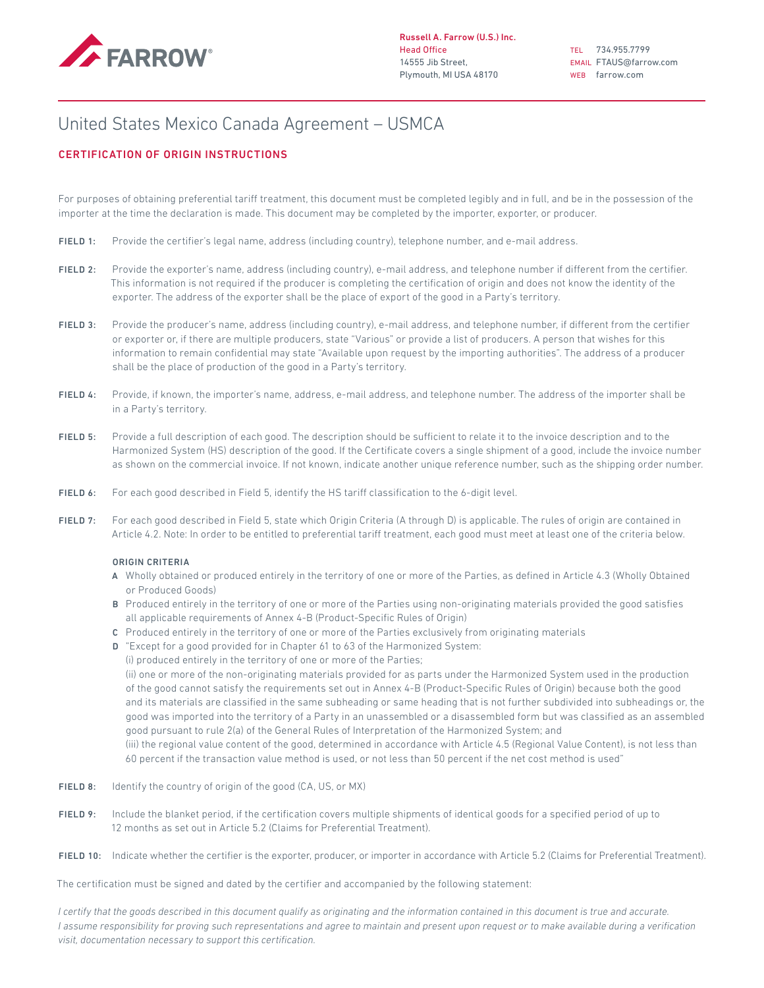

TEL 734.955.7799 EMAIL FTAUS@farrow.com WEB farrow.com

# United States Mexico Canada Agreement – USMCA

## CERTIFICATION OF ORIGIN INSTRUCTIONS

For purposes of obtaining preferential tariff treatment, this document must be completed legibly and in full, and be in the possession of the importer at the time the declaration is made. This document may be completed by the importer, exporter, or producer.

- FIELD 1: Provide the certifier's legal name, address (including country), telephone number, and e-mail address.
- FIELD 2: Provide the exporter's name, address (including country), e-mail address, and telephone number if different from the certifier. This information is not required if the producer is completing the certification of origin and does not know the identity of the exporter. The address of the exporter shall be the place of export of the good in a Party's territory.
- FIELD 3: Provide the producer's name, address (including country), e-mail address, and telephone number, if different from the certifier or exporter or, if there are multiple producers, state "Various" or provide a list of producers. A person that wishes for this information to remain confidential may state "Available upon request by the importing authorities". The address of a producer shall be the place of production of the good in a Party's territory.
- FIELD 4: Provide, if known, the importer's name, address, e-mail address, and telephone number. The address of the importer shall be in a Party's territory.
- FIELD 5: Provide a full description of each good. The description should be sufficient to relate it to the invoice description and to the Harmonized System (HS) description of the good. If the Certificate covers a single shipment of a good, include the invoice number as shown on the commercial invoice. If not known, indicate another unique reference number, such as the shipping order number.
- FIELD 6: For each good described in Field 5, identify the HS tariff classification to the 6-digit level.
- FIELD 7: For each good described in Field 5, state which Origin Criteria (A through D) is applicable. The rules of origin are contained in Article 4.2. Note: In order to be entitled to preferential tariff treatment, each good must meet at least one of the criteria below.

### ORIGIN CRITERIA

- A Wholly obtained or produced entirely in the territory of one or more of the Parties, as defined in Article 4.3 (Wholly Obtained or Produced Goods)
- B Produced entirely in the territory of one or more of the Parties using non-originating materials provided the good satisfies all applicable requirements of Annex 4-B (Product-Specific Rules of Origin)
- C Produced entirely in the territory of one or more of the Parties exclusively from originating materials
- D "Except for a good provided for in Chapter 61 to 63 of the Harmonized System:
- (i) produced entirely in the territory of one or more of the Parties;

(ii) one or more of the non-originating materials provided for as parts under the Harmonized System used in the production of the good cannot satisfy the requirements set out in Annex 4-B (Product-Specific Rules of Origin) because both the good and its materials are classified in the same subheading or same heading that is not further subdivided into subheadings or, the good was imported into the territory of a Party in an unassembled or a disassembled form but was classified as an assembled good pursuant to rule 2(a) of the General Rules of Interpretation of the Harmonized System; and

(iii) the regional value content of the good, determined in accordance with Article 4.5 (Regional Value Content), is not less than 60 percent if the transaction value method is used, or not less than 50 percent if the net cost method is used"

- FIELD 8: Identify the country of origin of the good (CA, US, or MX)
- FIELD 9: Include the blanket period, if the certification covers multiple shipments of identical goods for a specified period of up to 12 months as set out in Article 5.2 (Claims for Preferential Treatment).
- FIELD 10: Indicate whether the certifier is the exporter, producer, or importer in accordance with Article 5.2 (Claims for Preferential Treatment).

The certification must be signed and dated by the certifier and accompanied by the following statement:

*I certify that the goods described in this document qualify as originating and the information contained in this document is true and accurate. I* assume responsibility for proving such representations and agree to maintain and present upon request or to make available during a verification *visit, documentation necessary to support this certification.*